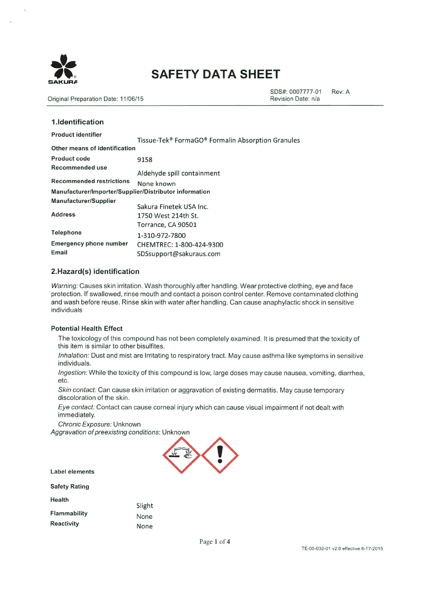

Original Preparation Date: 11/06/15

1 Identification

SDS#: 0007777-01 Rev: A Revision Date: n/a

| 1.19611.1116.4.1911                                    |                                                   |  |  |  |
|--------------------------------------------------------|---------------------------------------------------|--|--|--|
| <b>Product identifier</b>                              | Tissue-Tek® FormaGO® Formalin Absorption Granules |  |  |  |
| Other means of identification                          |                                                   |  |  |  |
| Product code                                           | 9158                                              |  |  |  |
| Recommended use                                        | Aldehyde spill containment                        |  |  |  |
| <b>Recommended restrictions</b>                        | None known                                        |  |  |  |
| Manufacturer/Importer/Supplier/Distributor information |                                                   |  |  |  |
| Manufacturer/Supplier                                  | Sakura Finetek USA Inc.                           |  |  |  |
| <b>Address</b>                                         | 1750 West 214th St.                               |  |  |  |
|                                                        | Torrance, CA 90501                                |  |  |  |
| <b>Telephone</b>                                       | 1-310-972-7800                                    |  |  |  |
| <b>Emergency phone number</b>                          | CHEMTREC: 1-800-424-9300                          |  |  |  |
| Email                                                  | SDSsupport@sakuraus.com                           |  |  |  |

# 2.Hazard(s) identification

Warning: Causes skin irritation. Wash thoroughly after handling. Wear protective clothing, eye and face protection. If swallowed, rinse mouth and contact a poison control center. Remove contaminated clothing and wash before reuse. Rinse skin with water after handling. Can cause anaphylactic shock in sensitive individuals

#### **Potential Health Effect**

The toxicology of this compound has not been completely examined. It is presumed that the toxicity of this item is similar to other bisulfites.

Inhalation: Dust and mist are Irritating to respiratory tract. May cause asthma like symptoms in sensitive individuals.

Ingestion: While the toxicity of this compound is low, large doses may cause nausea, vomiting, diarrhea, etc.

Skin contact: Can cause skin irritation or aggravation of existing dermatitis. May cause temporary discoloration of the skin.

Eye contact: Contact can cause corneal injury which can cause visual impairment if not dealt with immediately.

Chronic Exposure: Unknown

Aggravation of preexisting conditions: Unknown



**Label elements** 

**Safety Rating** 

Health

Slight Flammability None Reactivity None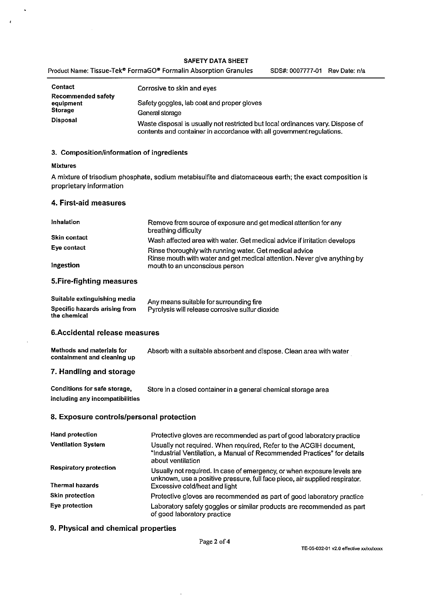|         | Product Name: Tissue-Tek® FormaGO® Formalin Absorption Granules | SDS#: 0007777-01 Rev Date: n/a |  |
|---------|-----------------------------------------------------------------|--------------------------------|--|
| Contact | Corrosive to skin and eves                                      |                                |  |

|                                        | COLLOSIVE TO SKILL GIT CARS                                                                                                                             |
|----------------------------------------|---------------------------------------------------------------------------------------------------------------------------------------------------------|
| <b>Recommended safety</b><br>equipment | Safety goggles, lab coat and proper gloves                                                                                                              |
| <b>Storage</b><br><b>Disposal</b>      | General storage                                                                                                                                         |
|                                        | Waste disposal is usually not restricted but local ordinances vary. Dispose of<br>contents and container in accordance with all government regulations. |

## 3. Composition/information of ingredients

#### **Mixtures**

 $\epsilon$ 

A mixture of trisodium phosphate, sodium metabisulfite and diatomaceous earth; the exact composition is proprietary information

#### 4. First-aid measures

| Inhalation          | Remove from source of exposure and get medical attention for any<br>breathing difficulty                                            |
|---------------------|-------------------------------------------------------------------------------------------------------------------------------------|
| <b>Skin contact</b> | Wash affected area with water. Get medical advice if irritation develops                                                            |
| Eye contact         | Rinse thoroughly with running water. Get medical advice<br>Rinse mouth with water and get medical attention. Never give anything by |
| Ingestion           | mouth to an unconscious person                                                                                                      |

# 5. Fire-fighting measures

| Suitable extinguishing media                  | Any means suitable for surrounding fire         |
|-----------------------------------------------|-------------------------------------------------|
| Specific hazards arising from<br>the chemical | Pyrolysis will release corrosive sulfur dioxide |

# 6. Accidental release measures

| Methods and materials for   | Absorb with a suitable absorbent and dispose. Clean area with water |
|-----------------------------|---------------------------------------------------------------------|
| containment and cleaning up |                                                                     |

# 7. Handling and storage

| Conditions for safe storage,    | Store in a closed container in a general chemical storage area |
|---------------------------------|----------------------------------------------------------------|
| including any incompatibilities |                                                                |

## 8. Exposure controls/personal protection

| <b>Hand protection</b>        | Protective gloves are recommended as part of good laboratory practice                                                                                             |  |  |  |  |
|-------------------------------|-------------------------------------------------------------------------------------------------------------------------------------------------------------------|--|--|--|--|
| <b>Ventilation System</b>     | Usually not required. When required, Refer to the ACGIH document,<br>"Industrial Ventilation, a Manual of Recommended Practices" for details<br>about ventilation |  |  |  |  |
| <b>Respiratory protection</b> | Usually not required. In case of emergency, or when exposure levels are<br>unknown, use a positive pressure, full face piece, air supplied respirator.            |  |  |  |  |
| <b>Thermal hazards</b>        | Excessive cold/heat and light                                                                                                                                     |  |  |  |  |
| <b>Skin protection</b>        | Protective gloves are recommended as part of good laboratory practice                                                                                             |  |  |  |  |
| Eve protection                | Laboratory safety goggles or similar products are recommended as part<br>of good laboratory practice                                                              |  |  |  |  |

## 9. Physical and chemical properties

 $\bar{\mathbf{r}}$ 

 $\overline{\phantom{a}}$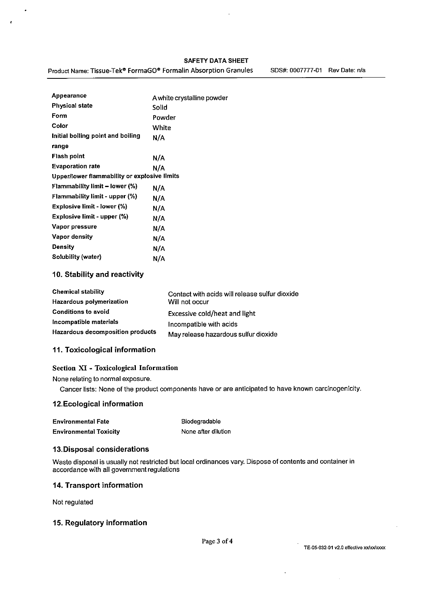Product Name: Tissue-Tek® FormaGO® Formalin Absorption Granules

SDS#: 0007777-01 Rev Date: n/a

| Appearance                                   | A white crystalline powder |
|----------------------------------------------|----------------------------|
| <b>Physical state</b>                        | Solid                      |
| Form                                         | Powder                     |
| Color                                        | White                      |
| Initial boiling point and boiling            | N/A                        |
| range                                        |                            |
| Flash point                                  | N/A                        |
| <b>Evaporation rate</b>                      | N/A                        |
| Upper/lower flammability or explosive limits |                            |
| <b>Flammability limit – lower (%)</b>        | N/A                        |
| Flammability limit - upper (%)               | N/A                        |
| Explosive limit - lower (%)                  | N/A                        |
| Explosive limit - upper (%)                  | N/A                        |
| Vapor pressure                               | N/A                        |
| Vapor density                                | N/A                        |
| Density                                      | N/A                        |
| Solubility (water)                           | N/A                        |
|                                              |                            |

## 10. Stability and reactivity

| <b>Chemical stability</b>        | Contact with acids will release sulfur dioxide |
|----------------------------------|------------------------------------------------|
| <b>Hazardous polymerization</b>  | Will not occur                                 |
| <b>Conditions to avoid</b>       | Excessive cold/heat and light                  |
| Incompatible materials           | Incompatible with acids                        |
| Hazardous decomposition products | May release hazardous sulfur dioxide           |

## 11. Toxicological information

## Section XI - Toxicological Information

None relating to normal exposure.

Cancer lists: None of the product components have or are anticipated to have known carcinogenicity.

# 12. Ecological information

| <b>Environmental Fate</b>     | Biodegradable       |
|-------------------------------|---------------------|
| <b>Environmental Toxicity</b> | None after dilution |

#### 13. Disposal considerations

Waste disposal is usually not restricted but local ordinances vary. Dispose of contents and container in accordance with all government regulations

#### 14. Transport information

Not regulated

# 15. Regulatory information

l,